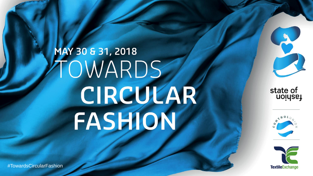# MAY 30 & 31, 2018 TOWARDS CIRCULAR FASHION



#TowardsCircularFashion

state of<br>uoiysey





#TowardsCircularFashion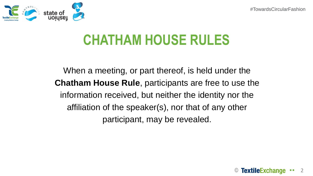

### **CHATHAM HOUSE RULES**

When a meeting, or part thereof, is held under the **Chatham House Rule**, participants are free to use the information received, but neither the identity nor the affiliation of the speaker(s), nor that of any other participant, may be revealed.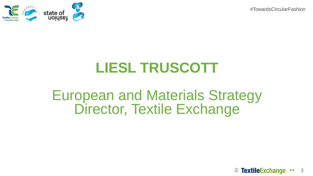

### **LIESL TRUSCOTT**

### European and Materials Strategy Director, Textile Exchange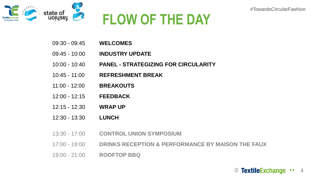

## **FLOW OF THE DAY**

- 09:30 09:45 **WELCOMES**
- 09:45 10:00 **INDUSTRY UPDATE**
- 10:00 10:40 **PANEL - STRATEGIZING FOR CIRCULARITY**
- 10:45 11:00 **REFRESHMENT BREAK**
- 11:00 12:00 **BREAKOUTS**
- 12:00 12:15 **FEEDBACK**
- 12:15 12:30 **WRAP UP**
- 12:30 13:30 **LUNCH**
- 13:30 17:00 **CONTROL UNION SYMPOSIUM**
- 17:00 19:00 **DRINKS RECEPTION & PERFORMANCE BY MAISON THE FAUX**
- 19:00 21:00 **ROOFTOP BBQ**

© TextileExchange ... 4

#TowardsCircularFashion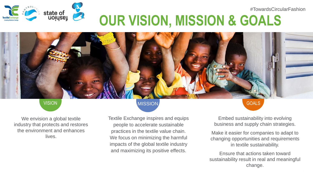

### #TowardsCircularFashion **OUR VISION, MISSION & GOALS**

We envision a global textile industry that protects and restores the environment and enhances lives.

#### VISION GOALS

Textile Exchange inspires and equips people to accelerate sustainable practices in the textile value chain. We focus on minimizing the harmful impacts of the global textile industry and maximizing its positive effects.

Embed sustainability into evolving business and supply chain strategies.

Make it easier for companies to adapt to changing opportunities and requirements in textile sustainability.

© 500 € 500 € 500 € 500 € 500 € 500 € 500 € Ensure that actions taken toward sustainability result in real and meaningful change.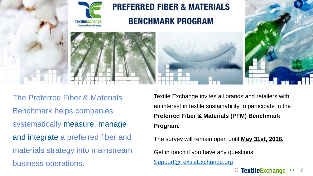

The Preferred Fiber & Materials Benchmark helps companies systematically measure, manage and integrate a preferred fiber and materials strategy into mainstream business operations.

Textile Exchange invites all brands and retailers with an interest in textile sustainability to participate in the **Preferred Fiber & Materials (PFM) Benchmark Program.**

The survey will remain open until **May 31st, 2018.** 

Get in touch if you have any questions:

[Support@TextileExchange.org](mailto:Support@TextileExchange.org)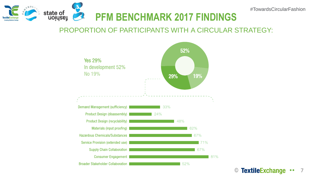

### PROPORTION OF PARTICIPANTS WITH A CIRCULAR STRATEGY:



© TextileExchange .. 7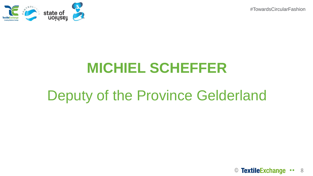

### **MICHIEL SCHEFFER**

### Deputy of the Province Gelderland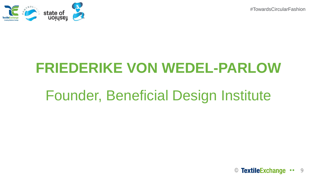

### **FRIEDERIKE VON WEDEL-PARLOW**

### Founder, Beneficial Design Institute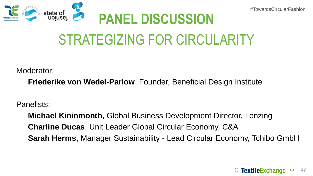

## STRATEGIZING FOR CIRCULARITY

Moderator:

**Friederike von Wedel-Parlow**, Founder, Beneficial Design Institute

Panelists:

**Michael Kininmonth**, Global Business Development Director, Lenzing **Charline Ducas**, Unit Leader Global Circular Economy, C&A **Sarah Herms**, Manager Sustainability - Lead Circular Economy, Tchibo GmbH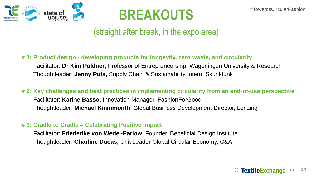



(straight after break, in the expo area)

#### **# 1: Product design - developing products for longevity, zero waste, and circularity**

Facilitator: **Dr Kim Poldner**, Professor of Entrepreneurship, Wageningen University & Research Thoughtleader: **Jenny Puts**, Supply Chain & Sustainability Intern, Skunkfunk

#### **# 2: Key challenges and best practices in implementing circularity from an end-of-use perspective**

Facilitator: **Karine Basso**, Innovation Manager, FashionForGood Thoughtleader: **Michael Kininmonth**, Global Business Development Director, Lenzing

#### **# 3: Cradle to Cradle – Celebrating Positive Impact**

Facilitator: **Friederike von Wedel-Parlow**, Founder, Beneficial Design Institute Thoughtleader: **Charline Ducas**, Unit Leader Global Circular Economy, C&A

#### **TextileExchange ••** 37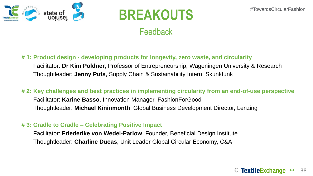

## **BREAKOUTS**

### Feedback

#### **# 1: Product design - developing products for longevity, zero waste, and circularity**

Facilitator: **Dr Kim Poldner**, Professor of Entrepreneurship, Wageningen University & Research Thoughtleader: **Jenny Puts**, Supply Chain & Sustainability Intern, Skunkfunk

#### **# 2: Key challenges and best practices in implementing circularity from an end-of-use perspective**

Facilitator: **Karine Basso**, Innovation Manager, FashionForGood Thoughtleader: **Michael Kininmonth**, Global Business Development Director, Lenzing

#### **# 3: Cradle to Cradle – Celebrating Positive Impact**

Facilitator: **Friederike von Wedel-Parlow**, Founder, Beneficial Design Institute Thoughtleader: **Charline Ducas**, Unit Leader Global Circular Economy, C&A